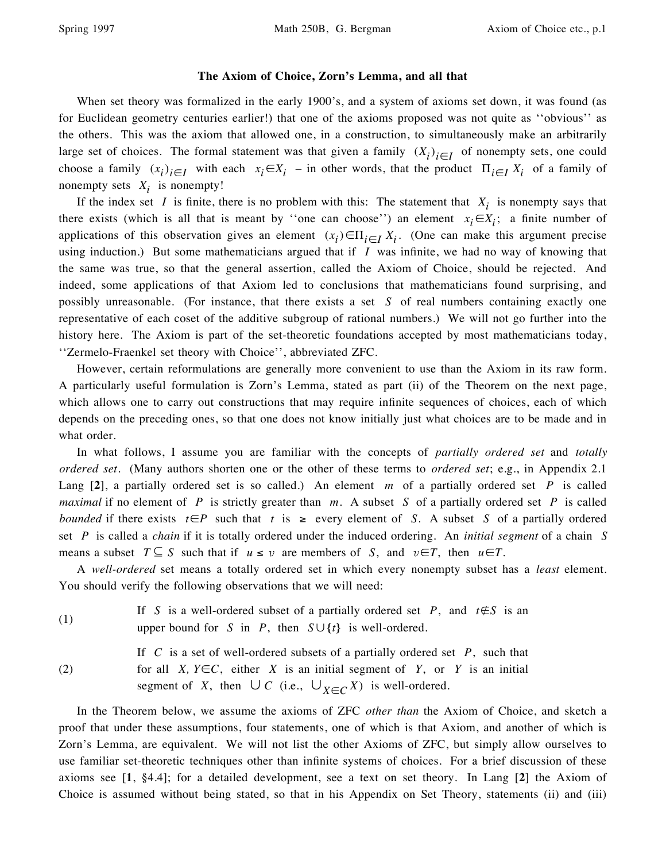## **The Axiom of Choice, Zorn's Lemma, and all that**

When set theory was formalized in the early 1900's, and a system of axioms set down, it was found (as for Euclidean geometry centuries earlier!) that one of the axioms proposed was not quite as ''obvious'' as the others. This was the axiom that allowed one, in a construction, to simultaneously make an arbitrarily large set of choices. The formal statement was that given a family  $(X_i)_{i \in I}$  of nonempty sets, one could choose a family  $(x_i)_{i \in I}$  with each  $x_i \in X_i$  – in other words, that the product  $\Pi_{i \in I} X_i$  of a family of nonempty sets  $X_i$  is nonempty!

If the index set *I* is finite, there is no problem with this: The statement that  $X_i$  is nonempty says that there exists (which is all that is meant by "one can choose") an element  $x_i \in X_i$ ; a finite number of applications of this observation gives an element  $(x_i) \in \Pi_i \in I$  *X<sub>i</sub>*. (One can make this argument precise using induction.) But some mathematicians argued that if *I* was infinite, we had no way of knowing that the same was true, so that the general assertion, called the Axiom of Choice, should be rejected. And indeed, some applications of that Axiom led to conclusions that mathematicians found surprising, and possibly unreasonable. (For instance, that there exists a set *S* of real numbers containing exactly one representative of each coset of the additive subgroup of rational numbers.) We will not go further into the history here. The Axiom is part of the set-theoretic foundations accepted by most mathematicians today, ''Zermelo-Fraenkel set theory with Choice'', abbreviated ZFC.

However, certain reformulations are generally more convenient to use than the Axiom in its raw form. A particularly useful formulation is Zorn's Lemma, stated as part (ii) of the Theorem on the next page, which allows one to carry out constructions that may require infinite sequences of choices, each of which depends on the preceding ones, so that one does not know initially just what choices are to be made and in what order.

In what follows, I assume you are familiar with the concepts of *partially ordered set* and *totally ordered set*. (Many authors shorten one or the other of these terms to *ordered set*; e.g., in Appendix 2.1 Lang [**2**], a partially ordered set is so called.) An element *m* of a partially ordered set *P* is called *maximal* if no element of *P* is strictly greater than *m*. A subset *S* of a partially ordered set *P* is called *bounded* if there exists  $t \in P$  such that t is  $\ge$  every element of *S*. A subset *S* of a partially ordered set *P* is called a *chain* if it is totally ordered under the induced ordering. An *initial segment* of a chain *S* means a subset  $T \subseteq S$  such that if  $u \le v$  are members of *S*, and  $v \in T$ , then  $u \in T$ .

A *well-ordered* set means a totally ordered set in which every nonempty subset has a *least* element. You should verify the following observations that we will need:

(1) If *S* is a well-ordered subset of a partially ordered set *P*, and  $t \notin S$  is an upper bound for *S* in *P*, then  $S \cup \{t\}$  is well-ordered.

(2) If *C* is a set of well-ordered subsets of a partially ordered set *P*, such that for all *X*,  $Y \in \mathbb{C}$ , either *X* is an initial segment of *Y*, or *Y* is an initial segment of *X*, then  $\bigcup C$  (i.e.,  $\bigcup_{X \in C} X$ ) is well-ordered.

In the Theorem below, we assume the axioms of ZFC *other than* the Axiom of Choice, and sketch a proof that under these assumptions, four statements, one of which is that Axiom, and another of which is Zorn's Lemma, are equivalent. We will not list the other Axioms of ZFC, but simply allow ourselves to use familiar set-theoretic techniques other than infinite systems of choices. For a brief discussion of these axioms see [**1**, §4.4]; for a detailed development, see a text on set theory. In Lang [**2**] the Axiom of Choice is assumed without being stated, so that in his Appendix on Set Theory, statements (ii) and (iii)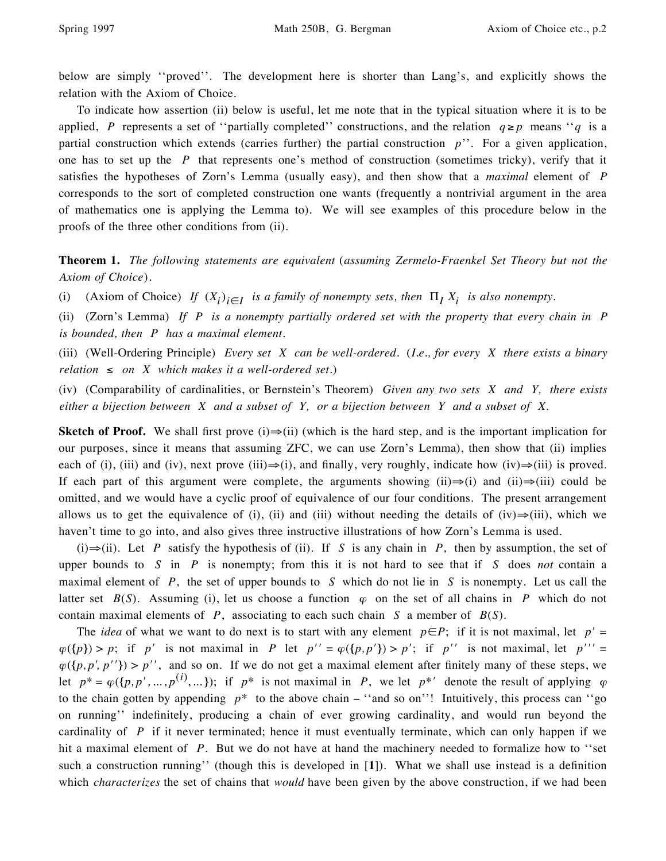below are simply ''proved''. The development here is shorter than Lang's, and explicitly shows the relation with the Axiom of Choice.

To indicate how assertion (ii) below is useful, let me note that in the typical situation where it is to be applied, *P* represents a set of "partially completed" constructions, and the relation  $q \ge p$  means "*q* is a partial construction which extends (carries further) the partial construction *p*''. For a given application, one has to set up the *P* that represents one's method of construction (sometimes tricky), verify that it satisfies the hypotheses of Zorn's Lemma (usually easy), and then show that a *maximal* element of *P* corresponds to the sort of completed construction one wants (frequently a nontrivial argument in the area of mathematics one is applying the Lemma to). We will see examples of this procedure below in the proofs of the three other conditions from (ii).

**Theorem 1.** *The following statements are equivalent* (*assuming Zermelo-Fraenkel Set Theory but not the Axiom of Choice*)*.*

(i) (Axiom of Choice) *If*  $(X_i)_{i \in I}$  *is a family of nonempty sets, then*  $\Pi_I X_i$  *is also nonempty.* 

(ii) (Zorn's Lemma) *If P is a nonempty partially ordered set with the property that every chain in P is bounded, then P has a maximal element.*

(iii) (Well-Ordering Principle) *Every set X can be well-ordered.* (*I.e., for every X there exists a binary relation*  $\leq$  *on*  $X$  *which makes it a well-ordered set.*)

(iv) (Comparability of cardinalities, or Bernstein's Theorem) *Given any two sets X and Y, there exists either a bijection between X and a subset of Y, or a bijection between Y and a subset of X.*

**Sketch of Proof.** We shall first prove (i) $\Rightarrow$ (ii) (which is the hard step, and is the important implication for our purposes, since it means that assuming ZFC, we can use Zorn's Lemma), then show that (ii) implies each of (i), (iii) and (iv), next prove (iii) $\Rightarrow$ (i), and finally, very roughly, indicate how (iv) $\Rightarrow$ (iii) is proved. If each part of this argument were complete, the arguments showing (ii) $\Rightarrow$ (i) and (ii) $\Rightarrow$ (iii) could be omitted, and we would have a cyclic proof of equivalence of our four conditions. The present arrangement allows us to get the equivalence of (i), (ii) and (iii) without needing the details of (iv) $\Rightarrow$ (iii), which we haven't time to go into, and also gives three instructive illustrations of how Zorn's Lemma is used.

 $(i) \Rightarrow (ii)$ . Let *P* satisfy the hypothesis of (ii). If *S* is any chain in *P*, then by assumption, the set of upper bounds to *S* in *P* is nonempty; from this it is not hard to see that if *S* does *not* contain a maximal element of *P*, the set of upper bounds to *S* which do not lie in *S* is nonempty. Let us call the latter set  $B(S)$ . Assuming (i), let us choose a function  $\varphi$  on the set of all chains in *P* which do not contain maximal elements of *P*, associating to each such chain *S* a member of *B*(*S*).

The *idea* of what we want to do next is to start with any element  $p \in P$ ; if it is not maximal, let  $p' =$  $\varphi(\{p\}) > p$ ; if *p*' is not maximal in *P* let  $p'' = \varphi(\{p, p'\}) > p'$ ; if *p''* is not maximal, let  $p''' =$  $\varphi({p, p', p''})> p''$ , and so on. If we do not get a maximal element after finitely many of these steps, we let  $p^* = \varphi(\{p, p', ..., p^{(i)}, ...\})$ ; if  $p^*$  is not maximal in *P*, we let  $p^{*'}$  denote the result of applying  $\varphi$ to the chain gotten by appending  $p^*$  to the above chain – "and so on"! Intuitively, this process can "go on running'' indefinitely, producing a chain of ever growing cardinality, and would run beyond the cardinality of *P* if it never terminated; hence it must eventually terminate, which can only happen if we hit a maximal element of *P*. But we do not have at hand the machinery needed to formalize how to ''set such a construction running'' (though this is developed in [**1**]). What we shall use instead is a definition which *characterizes* the set of chains that *would* have been given by the above construction, if we had been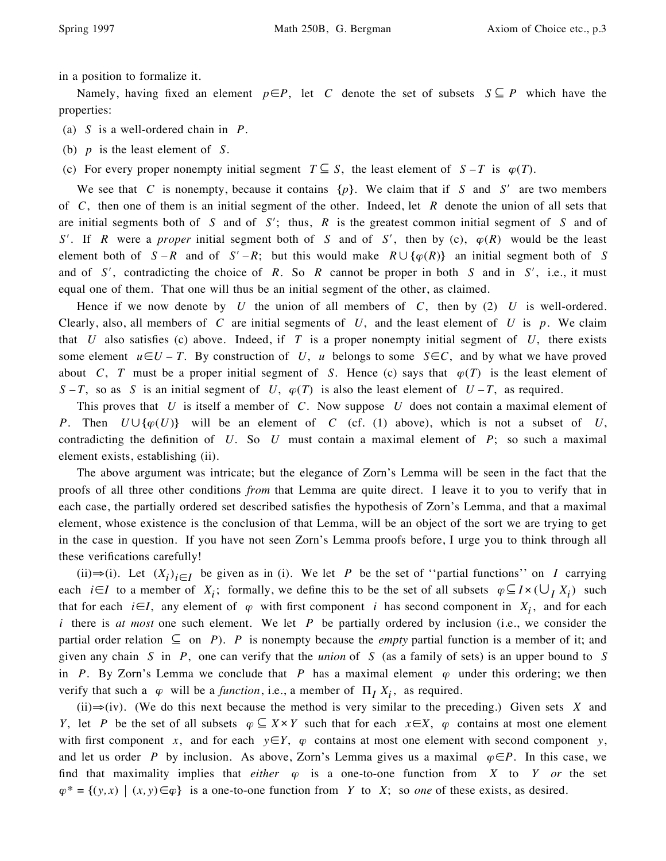in a position to formalize it.

Namely, having fixed an element  $p \in P$ , let *C* denote the set of subsets  $S \subseteq P$  which have the properties:

- (a) *S* is a well-ordered chain in *P*.
- (b) *p* is the least element of *S*.
- (c) For every proper nonempty initial segment  $T \subseteq S$ , the least element of  $S T$  is  $\varphi(T)$ .

We see that C is nonempty, because it contains  $\{p\}$ . We claim that if S and S' are two members of *C*, then one of them is an initial segment of the other. Indeed, let *R* denote the union of all sets that are initial segments both of *S* and of *S*); thus, *R* is the greatest common initial segment of *S* and of *S*<sup>'</sup>. If *R* were a *proper* initial segment both of *S* and of *S*<sup>'</sup>, then by (c),  $\varphi(R)$  would be the least element both of  $S - R$  and of  $S' - R$ ; but this would make  $R \cup \{\varphi(R)\}\$ an initial segment both of *S* and of *S*), contradicting the choice of *R*. So *R* cannot be proper in both *S* and in *S*), i.e., it must equal one of them. That one will thus be an initial segment of the other, as claimed.

Hence if we now denote by *U* the union of all members of *C*, then by (2) *U* is well-ordered. Clearly, also, all members of *C* are initial segments of *U*, and the least element of *U* is *p*. We claim that *U* also satisfies (c) above. Indeed, if *T* is a proper nonempty initial segment of *U*, there exists some element  $u \in U - T$ . By construction of U, u belongs to some  $S \in C$ , and by what we have proved about *C*, *T* must be a proper initial segment of *S*. Hence (c) says that  $\varphi(T)$  is the least element of  $S-T$ , so as *S* is an initial segment of *U*,  $\varphi(T)$  is also the least element of  $U-T$ , as required.

This proves that *U* is itself a member of *C*. Now suppose *U* does not contain a maximal element of *P*. Then  $U \cup \{\varphi(U)\}\$  will be an element of *C* (cf. (1) above), which is not a subset of *U*, contradicting the definition of *U*. So *U* must contain a maximal element of *P*; so such a maximal element exists, establishing (ii).

The above argument was intricate; but the elegance of Zorn's Lemma will be seen in the fact that the proofs of all three other conditions *from* that Lemma are quite direct. I leave it to you to verify that in each case, the partially ordered set described satisfies the hypothesis of Zorn's Lemma, and that a maximal element, whose existence is the conclusion of that Lemma, will be an object of the sort we are trying to get in the case in question. If you have not seen Zorn's Lemma proofs before, I urge you to think through all these verifications carefully!

(ii) $\Rightarrow$ (i). Let  $(X_i)_{i \in I}$  be given as in (i). We let *P* be the set of "partial functions" on *I* carrying each  $i \in I$  to a member of  $X_i$ ; formally, we define this to be the set of all subsets  $\varphi \subseteq I \times (\bigcup_I X_i)$  such that for each  $i \in I$ , any element of  $\varphi$  with first component *i* has second component in  $X_i$ , and for each *i* there is *at most* one such element. We let *P* be partially ordered by inclusion (i.e., we consider the partial order relation  $\subseteq$  on *P*). *P* is nonempty because the *empty* partial function is a member of it; and given any chain *S* in *P*, one can verify that the *union* of *S* (as a family of sets) is an upper bound to *S* in *P*. By Zorn's Lemma we conclude that *P* has a maximal element  $\varphi$  under this ordering; we then verify that such a  $\varphi$  will be a *function*, i.e., a member of  $\Pi_I X_i$ , as required.

 $(ii) \Rightarrow (iv)$ . (We do this next because the method is very similar to the preceding.) Given sets *X* and *Y*, let *P* be the set of all subsets  $\varphi \subseteq X \times Y$  such that for each  $x \in X$ ,  $\varphi$  contains at most one element with first component *x*, and for each  $y \in Y$ ,  $\varphi$  contains at most one element with second component *y*, and let us order *P* by inclusion. As above, Zorn's Lemma gives us a maximal  $\varphi \in P$ . In this case, we find that maximality implies that *either*  $\varphi$  is a one-to-one function from *X* to *Y* or the set  $\varphi^* = \{(y, x) \mid (x, y) \in \varphi\}$  is a one-to-one function from *Y* to *X*; so *one* of these exists, as desired.